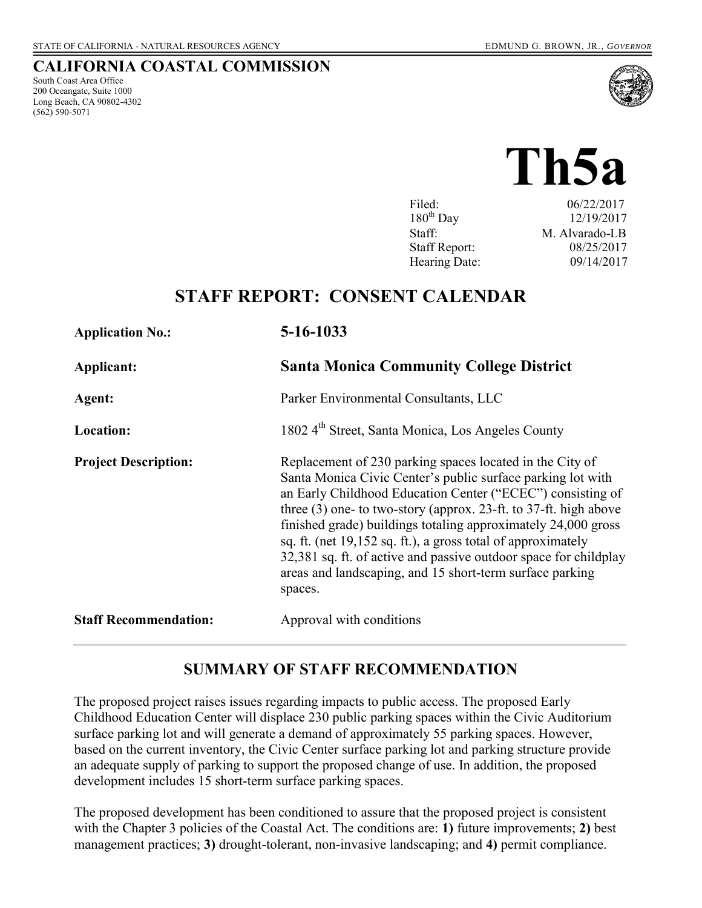South Coast Area Office 200 Oceangate, Suite 1000 Long Beach, CA 90802-4302

(562) 590-5071

**CALIFORNIA COASTAL COMMISSION** 

# **Th5a**

| Filed:               | 06/22/2017     |
|----------------------|----------------|
| $180^{th}$ Day       | 12/19/2017     |
| Staff:               | M. Alvarado-LB |
| <b>Staff Report:</b> | 08/25/2017     |
| Hearing Date:        | 09/14/2017     |

# **STAFF REPORT: CONSENT CALENDAR**

| <b>Application No.:</b>      | 5-16-1033                                                                                                                                                                                                                                                                                                                                                                                                                                                                                                                               |
|------------------------------|-----------------------------------------------------------------------------------------------------------------------------------------------------------------------------------------------------------------------------------------------------------------------------------------------------------------------------------------------------------------------------------------------------------------------------------------------------------------------------------------------------------------------------------------|
| Applicant:                   | <b>Santa Monica Community College District</b>                                                                                                                                                                                                                                                                                                                                                                                                                                                                                          |
| Agent:                       | Parker Environmental Consultants, LLC                                                                                                                                                                                                                                                                                                                                                                                                                                                                                                   |
| Location:                    | 1802 4 <sup>th</sup> Street, Santa Monica, Los Angeles County                                                                                                                                                                                                                                                                                                                                                                                                                                                                           |
| <b>Project Description:</b>  | Replacement of 230 parking spaces located in the City of<br>Santa Monica Civic Center's public surface parking lot with<br>an Early Childhood Education Center ("ECEC") consisting of<br>three $(3)$ one- to two-story (approx. 23-ft. to 37-ft. high above<br>finished grade) buildings totaling approximately 24,000 gross<br>sq. ft. (net 19,152 sq. ft.), a gross total of approximately<br>32,381 sq. ft. of active and passive outdoor space for childplay<br>areas and landscaping, and 15 short-term surface parking<br>spaces. |
| <b>Staff Recommendation:</b> | Approval with conditions                                                                                                                                                                                                                                                                                                                                                                                                                                                                                                                |

# **SUMMARY OF STAFF RECOMMENDATION**

The proposed project raises issues regarding impacts to public access. The proposed Early Childhood Education Center will displace 230 public parking spaces within the Civic Auditorium surface parking lot and will generate a demand of approximately 55 parking spaces. However, based on the current inventory, the Civic Center surface parking lot and parking structure provide an adequate supply of parking to support the proposed change of use. In addition, the proposed development includes 15 short-term surface parking spaces.

The proposed development has been conditioned to assure that the proposed project is consistent with the Chapter 3 policies of the Coastal Act. The conditions are: **1)** future improvements; **2)** best management practices; **3)** drought-tolerant, non-invasive landscaping; and **4)** permit compliance.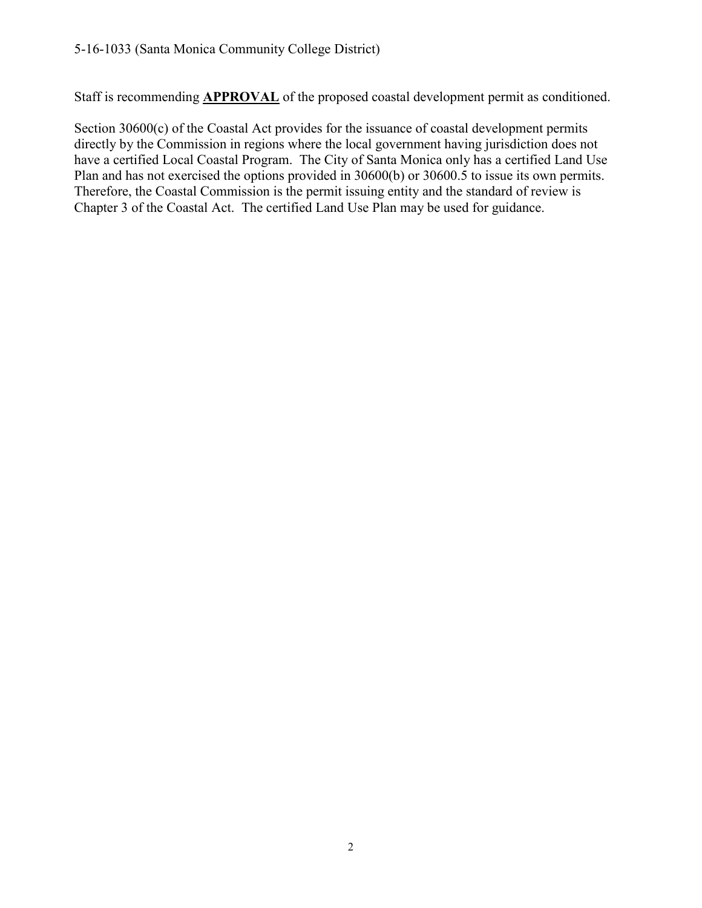Staff is recommending **APPROVAL** of the proposed coastal development permit as conditioned.

Section 30600(c) of the Coastal Act provides for the issuance of coastal development permits directly by the Commission in regions where the local government having jurisdiction does not have a certified Local Coastal Program. The City of Santa Monica only has a certified Land Use Plan and has not exercised the options provided in 30600(b) or 30600.5 to issue its own permits. Therefore, the Coastal Commission is the permit issuing entity and the standard of review is Chapter 3 of the Coastal Act. The certified Land Use Plan may be used for guidance.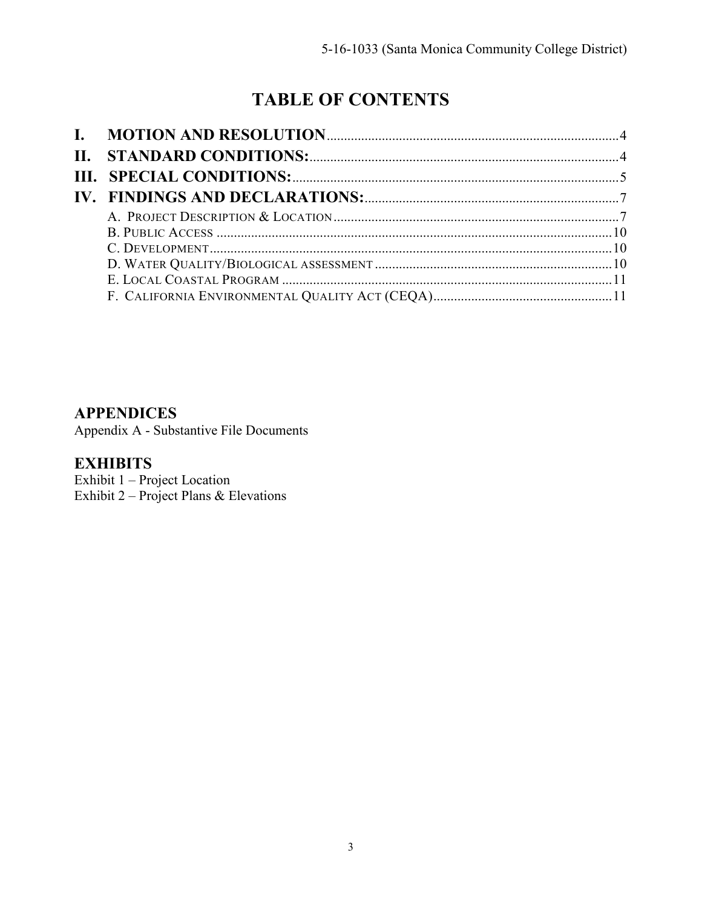# **TABLE OF CONTENTS**

# **APPENDICES**

Appendix A - Substantive File Documents

# **EXHIBITS**

Exhibit 1 – Project Location Exhibit 2 – [Project Plans & Elevations](https://documents.coastal.ca.gov/reports/2017/9/Th5a/Th5a-9-2017-exhibits.pdf)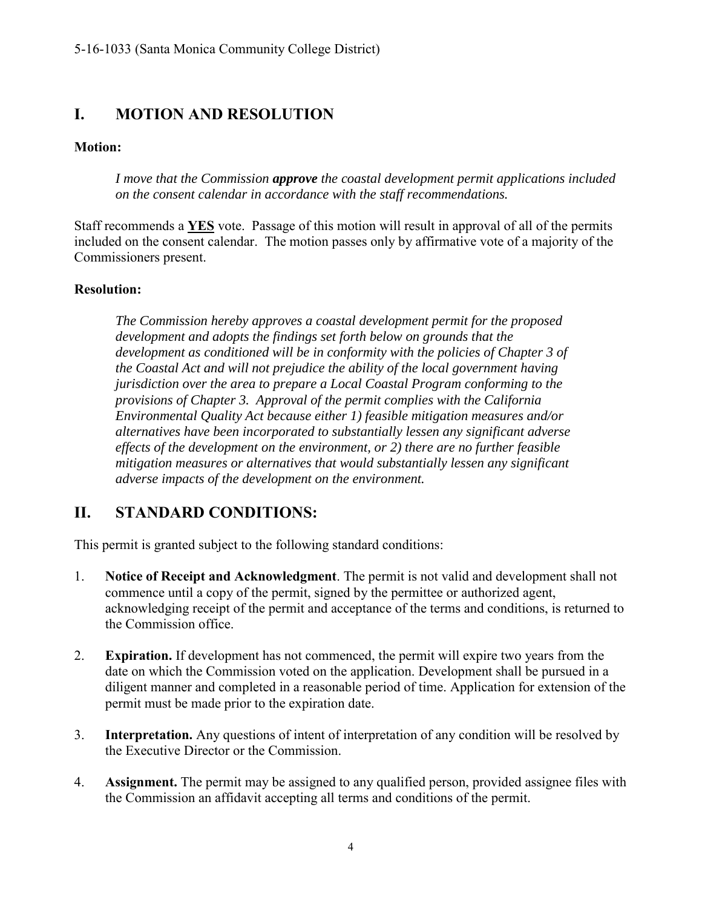# <span id="page-3-0"></span>**I. MOTION AND RESOLUTION**

#### **Motion:**

*I move that the Commission approve the coastal development permit applications included on the consent calendar in accordance with the staff recommendations.*

Staff recommends a **YES** vote. Passage of this motion will result in approval of all of the permits included on the consent calendar. The motion passes only by affirmative vote of a majority of the Commissioners present.

#### **Resolution:**

*The Commission hereby approves a coastal development permit for the proposed development and adopts the findings set forth below on grounds that the development as conditioned will be in conformity with the policies of Chapter 3 of the Coastal Act and will not prejudice the ability of the local government having jurisdiction over the area to prepare a Local Coastal Program conforming to the provisions of Chapter 3. Approval of the permit complies with the California Environmental Quality Act because either 1) feasible mitigation measures and/or alternatives have been incorporated to substantially lessen any significant adverse effects of the development on the environment, or 2) there are no further feasible mitigation measures or alternatives that would substantially lessen any significant adverse impacts of the development on the environment.* 

# <span id="page-3-1"></span>**II. STANDARD CONDITIONS:**

This permit is granted subject to the following standard conditions:

- 1. **Notice of Receipt and Acknowledgment**. The permit is not valid and development shall not commence until a copy of the permit, signed by the permittee or authorized agent, acknowledging receipt of the permit and acceptance of the terms and conditions, is returned to the Commission office.
- 2. **Expiration.** If development has not commenced, the permit will expire two years from the date on which the Commission voted on the application. Development shall be pursued in a diligent manner and completed in a reasonable period of time. Application for extension of the permit must be made prior to the expiration date.
- 3. **Interpretation.** Any questions of intent of interpretation of any condition will be resolved by the Executive Director or the Commission.
- 4. **Assignment.** The permit may be assigned to any qualified person, provided assignee files with the Commission an affidavit accepting all terms and conditions of the permit.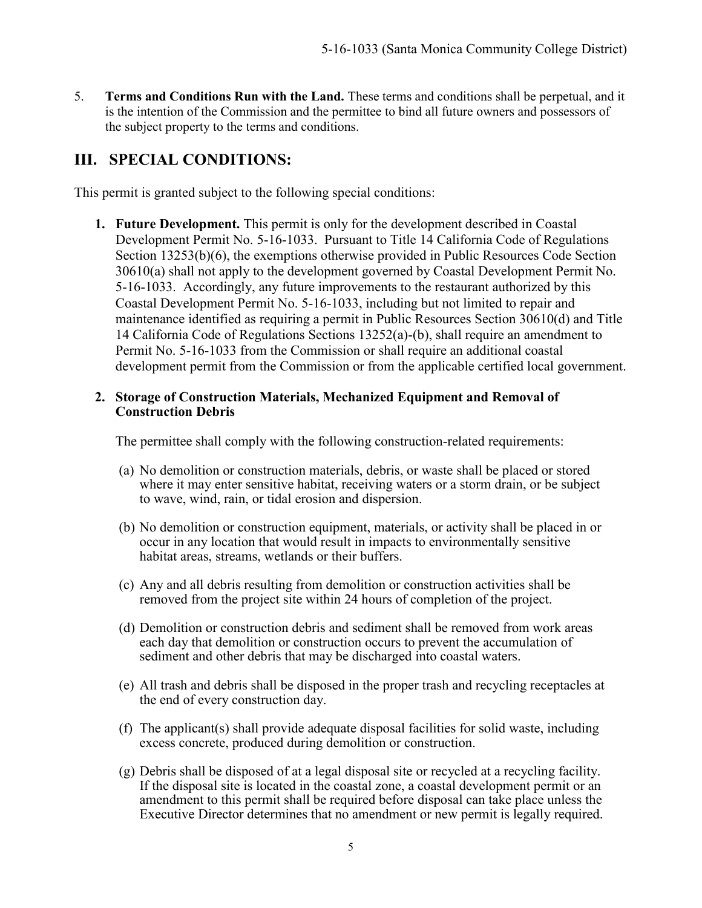5. **Terms and Conditions Run with the Land.** These terms and conditions shall be perpetual, and it is the intention of the Commission and the permittee to bind all future owners and possessors of the subject property to the terms and conditions.

# <span id="page-4-0"></span>**III. SPECIAL CONDITIONS:**

This permit is granted subject to the following special conditions:

**1. Future Development.** This permit is only for the development described in Coastal Development Permit No. 5-16-1033. Pursuant to Title 14 California Code of Regulations Section 13253(b)(6), the exemptions otherwise provided in Public Resources Code Section 30610(a) shall not apply to the development governed by Coastal Development Permit No. 5-16-1033. Accordingly, any future improvements to the restaurant authorized by this Coastal Development Permit No. 5-16-1033, including but not limited to repair and maintenance identified as requiring a permit in Public Resources Section 30610(d) and Title 14 California Code of Regulations Sections 13252(a)-(b), shall require an amendment to Permit No. 5-16-1033 from the Commission or shall require an additional coastal development permit from the Commission or from the applicable certified local government.

#### **2. Storage of Construction Materials, Mechanized Equipment and Removal of Construction Debris**

The permittee shall comply with the following construction-related requirements:

- (a) No demolition or construction materials, debris, or waste shall be placed or stored where it may enter sensitive habitat, receiving waters or a storm drain, or be subject to wave, wind, rain, or tidal erosion and dispersion.
- (b) No demolition or construction equipment, materials, or activity shall be placed in or occur in any location that would result in impacts to environmentally sensitive habitat areas, streams, wetlands or their buffers.
- (c) Any and all debris resulting from demolition or construction activities shall be removed from the project site within 24 hours of completion of the project.
- (d) Demolition or construction debris and sediment shall be removed from work areas each day that demolition or construction occurs to prevent the accumulation of sediment and other debris that may be discharged into coastal waters.
- (e) All trash and debris shall be disposed in the proper trash and recycling receptacles at the end of every construction day.
- (f) The applicant(s) shall provide adequate disposal facilities for solid waste, including excess concrete, produced during demolition or construction.
- (g) Debris shall be disposed of at a legal disposal site or recycled at a recycling facility. If the disposal site is located in the coastal zone, a coastal development permit or an amendment to this permit shall be required before disposal can take place unless the Executive Director determines that no amendment or new permit is legally required.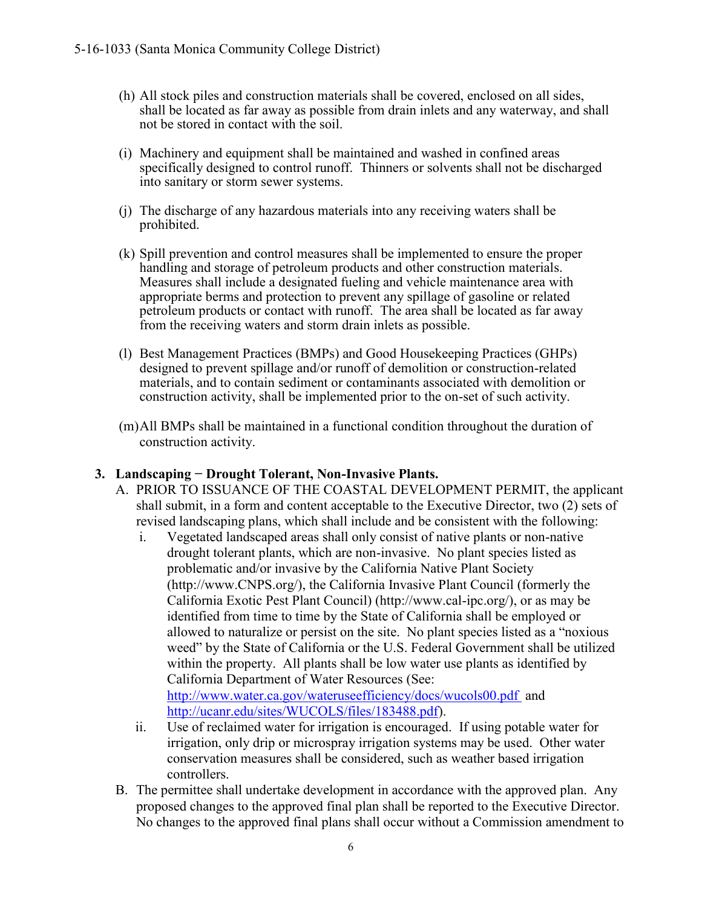- (h) All stock piles and construction materials shall be covered, enclosed on all sides, shall be located as far away as possible from drain inlets and any waterway, and shall not be stored in contact with the soil.
- (i) Machinery and equipment shall be maintained and washed in confined areas specifically designed to control runoff. Thinners or solvents shall not be discharged into sanitary or storm sewer systems.
- (j) The discharge of any hazardous materials into any receiving waters shall be prohibited.
- (k) Spill prevention and control measures shall be implemented to ensure the proper handling and storage of petroleum products and other construction materials. Measures shall include a designated fueling and vehicle maintenance area with appropriate berms and protection to prevent any spillage of gasoline or related petroleum products or contact with runoff. The area shall be located as far away from the receiving waters and storm drain inlets as possible.
- (l) Best Management Practices (BMPs) and Good Housekeeping Practices (GHPs) designed to prevent spillage and/or runoff of demolition or construction-related materials, and to contain sediment or contaminants associated with demolition or construction activity, shall be implemented prior to the on-set of such activity.
- (m)All BMPs shall be maintained in a functional condition throughout the duration of construction activity.

#### **3. Landscaping − Drought Tolerant, Non-Invasive Plants.**

- A. PRIOR TO ISSUANCE OF THE COASTAL DEVELOPMENT PERMIT, the applicant shall submit, in a form and content acceptable to the Executive Director, two (2) sets of revised landscaping plans, which shall include and be consistent with the following:
	- i. Vegetated landscaped areas shall only consist of native plants or non-native drought tolerant plants, which are non-invasive. No plant species listed as problematic and/or invasive by the California Native Plant Society (http://www.CNPS.org/), the California Invasive Plant Council (formerly the California Exotic Pest Plant Council) (http://www.cal-ipc.org/), or as may be identified from time to time by the State of California shall be employed or allowed to naturalize or persist on the site. No plant species listed as a "noxious weed" by the State of California or the U.S. Federal Government shall be utilized within the property. All plants shall be low water use plants as identified by California Department of Water Resources (See: <http://www.water.ca.gov/wateruseefficiency/docs/wucols00.pdf> and [http://ucanr.edu/sites/WUCOLS/files/183488.pdf\)](http://ucanr.edu/sites/WUCOLS/files/183488.pdf).
	- ii. Use of reclaimed water for irrigation is encouraged. If using potable water for irrigation, only drip or microspray irrigation systems may be used. Other water conservation measures shall be considered, such as weather based irrigation controllers.
- B. The permittee shall undertake development in accordance with the approved plan. Any proposed changes to the approved final plan shall be reported to the Executive Director. No changes to the approved final plans shall occur without a Commission amendment to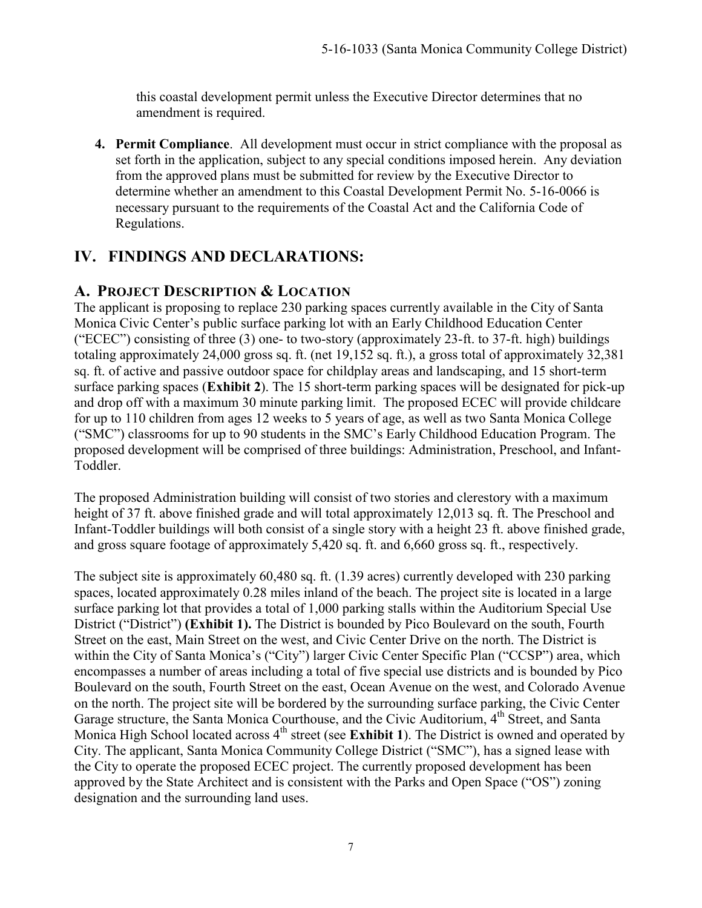this coastal development permit unless the Executive Director determines that no amendment is required.

**4. Permit Compliance**. All development must occur in strict compliance with the proposal as set forth in the application, subject to any special conditions imposed herein. Any deviation from the approved plans must be submitted for review by the Executive Director to determine whether an amendment to this Coastal Development Permit No. 5-16-0066 is necessary pursuant to the requirements of the Coastal Act and the California Code of Regulations.

# <span id="page-6-0"></span>**IV. FINDINGS AND DECLARATIONS:**

### <span id="page-6-1"></span>**A. PROJECT DESCRIPTION & LOCATION**

The applicant is proposing to replace 230 parking spaces currently available in the City of Santa Monica Civic Center's public surface parking lot with an Early Childhood Education Center ("ECEC") consisting of three (3) one- to two-story (approximately 23-ft. to 37-ft. high) buildings totaling approximately 24,000 gross sq. ft. (net 19,152 sq. ft.), a gross total of approximately 32,381 sq. ft. of active and passive outdoor space for childplay areas and landscaping, and 15 short-term surface parking spaces (**[Exhibit 2](https://documents.coastal.ca.gov/reports/2017/9/Th5a/Th5a-9-2017-exhibits.pdf)**). The 15 short-term parking spaces will be designated for pick-up and drop off with a maximum 30 minute parking limit. The proposed ECEC will provide childcare for up to 110 children from ages 12 weeks to 5 years of age, as well as two Santa Monica College ("SMC") classrooms for up to 90 students in the SMC's Early Childhood Education Program. The proposed development will be comprised of three buildings: Administration, Preschool, and Infant-Toddler.

The proposed Administration building will consist of two stories and clerestory with a maximum height of 37 ft. above finished grade and will total approximately 12,013 sq. ft. The Preschool and Infant-Toddler buildings will both consist of a single story with a height 23 ft. above finished grade, and gross square footage of approximately 5,420 sq. ft. and 6,660 gross sq. ft., respectively.

The subject site is approximately 60,480 sq. ft. (1.39 acres) currently developed with 230 parking spaces, located approximately 0.28 miles inland of the beach. The project site is located in a large surface parking lot that provides a total of 1,000 parking stalls within the Auditorium Special Use District ("District") **[\(Exhibit 1\).](https://documents.coastal.ca.gov/reports/2017/9/Th5a/Th5a-9-2017-exhibits.pdf)** The District is bounded by Pico Boulevard on the south, Fourth Street on the east, Main Street on the west, and Civic Center Drive on the north. The District is within the City of Santa Monica's ("City") larger Civic Center Specific Plan ("CCSP") area, which encompasses a number of areas including a total of five special use districts and is bounded by Pico Boulevard on the south, Fourth Street on the east, Ocean Avenue on the west, and Colorado Avenue on the north. The project site will be bordered by the surrounding surface parking, the Civic Center Garage structure, the Santa Monica Courthouse, and the Civic Auditorium, 4<sup>th</sup> Street, and Santa Monica High School located across 4<sup>th</sup> street (see **[Exhibit 1](https://documents.coastal.ca.gov/reports/2017/9/Th5a/Th5a-9-2017-exhibits.pdf)**). The District is owned and operated by City. The applicant, Santa Monica Community College District ("SMC"), has a signed lease with the City to operate the proposed ECEC project. The currently proposed development has been approved by the State Architect and is consistent with the Parks and Open Space ("OS") zoning designation and the surrounding land uses.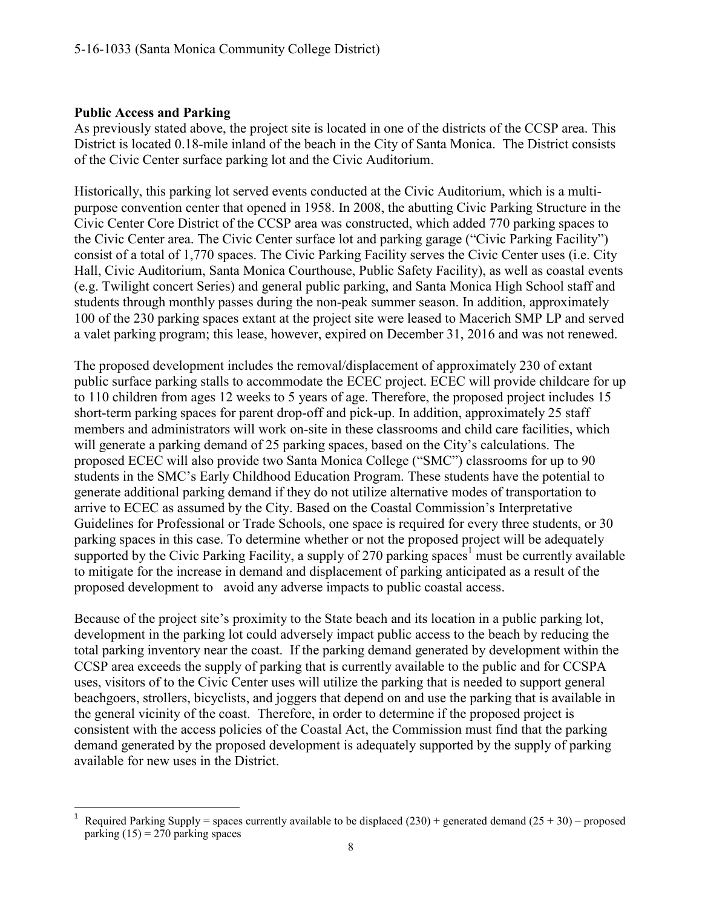#### **Public Access and Parking**

As previously stated above, the project site is located in one of the districts of the CCSP area. This District is located 0.18-mile inland of the beach in the City of Santa Monica. The District consists of the Civic Center surface parking lot and the Civic Auditorium.

Historically, this parking lot served events conducted at the Civic Auditorium, which is a multipurpose convention center that opened in 1958. In 2008, the abutting Civic Parking Structure in the Civic Center Core District of the CCSP area was constructed, which added 770 parking spaces to the Civic Center area. The Civic Center surface lot and parking garage ("Civic Parking Facility") consist of a total of 1,770 spaces. The Civic Parking Facility serves the Civic Center uses (i.e. City Hall, Civic Auditorium, Santa Monica Courthouse, Public Safety Facility), as well as coastal events (e.g. Twilight concert Series) and general public parking, and Santa Monica High School staff and students through monthly passes during the non-peak summer season. In addition, approximately 100 of the 230 parking spaces extant at the project site were leased to Macerich SMP LP and served a valet parking program; this lease, however, expired on December 31, 2016 and was not renewed.

The proposed development includes the removal/displacement of approximately 230 of extant public surface parking stalls to accommodate the ECEC project. ECEC will provide childcare for up to 110 children from ages 12 weeks to 5 years of age. Therefore, the proposed project includes 15 short-term parking spaces for parent drop-off and pick-up. In addition, approximately 25 staff members and administrators will work on-site in these classrooms and child care facilities, which will generate a parking demand of 25 parking spaces, based on the City's calculations. The proposed ECEC will also provide two Santa Monica College ("SMC") classrooms for up to 90 students in the SMC's Early Childhood Education Program. These students have the potential to generate additional parking demand if they do not utilize alternative modes of transportation to arrive to ECEC as assumed by the City. Based on the Coastal Commission's Interpretative Guidelines for Professional or Trade Schools, one space is required for every three students, or 30 parking spaces in this case. To determine whether or not the proposed project will be adequately supported by the Civic Parking Facility, a supply of 270 parking spaces<sup>1</sup> must be currently available to mitigate for the increase in demand and displacement of parking anticipated as a result of the proposed development to avoid any adverse impacts to public coastal access.

Because of the project site's proximity to the State beach and its location in a public parking lot, development in the parking lot could adversely impact public access to the beach by reducing the total parking inventory near the coast. If the parking demand generated by development within the CCSP area exceeds the supply of parking that is currently available to the public and for CCSPA uses, visitors of to the Civic Center uses will utilize the parking that is needed to support general beachgoers, strollers, bicyclists, and joggers that depend on and use the parking that is available in the general vicinity of the coast. Therefore, in order to determine if the proposed project is consistent with the access policies of the Coastal Act, the Commission must find that the parking demand generated by the proposed development is adequately supported by the supply of parking available for new uses in the District.

 $\overline{\phantom{a}}$ 1 Required Parking Supply = spaces currently available to be displaced (230) + generated demand  $(25 + 30)$  – proposed parking  $(15) = 270$  parking spaces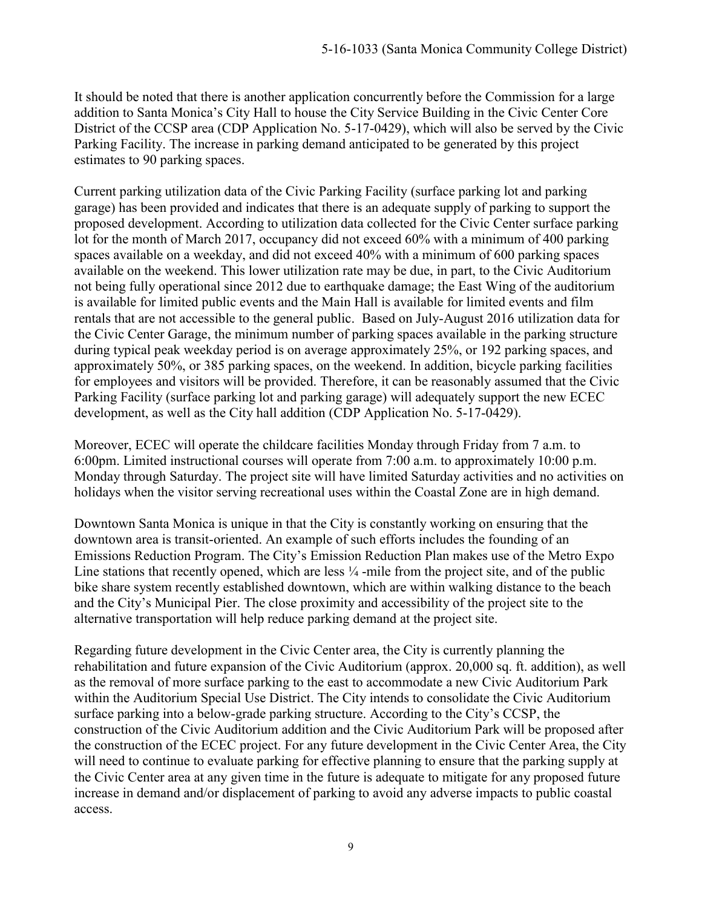It should be noted that there is another application concurrently before the Commission for a large addition to Santa Monica's City Hall to house the City Service Building in the Civic Center Core District of the CCSP area (CDP Application No. 5-17-0429), which will also be served by the Civic Parking Facility. The increase in parking demand anticipated to be generated by this project estimates to 90 parking spaces.

Current parking utilization data of the Civic Parking Facility (surface parking lot and parking garage) has been provided and indicates that there is an adequate supply of parking to support the proposed development. According to utilization data collected for the Civic Center surface parking lot for the month of March 2017, occupancy did not exceed 60% with a minimum of 400 parking spaces available on a weekday, and did not exceed 40% with a minimum of 600 parking spaces available on the weekend. This lower utilization rate may be due, in part, to the Civic Auditorium not being fully operational since 2012 due to earthquake damage; the East Wing of the auditorium is available for limited public events and the Main Hall is available for limited events and film rentals that are not accessible to the general public. Based on July-August 2016 utilization data for the Civic Center Garage, the minimum number of parking spaces available in the parking structure during typical peak weekday period is on average approximately 25%, or 192 parking spaces, and approximately 50%, or 385 parking spaces, on the weekend. In addition, bicycle parking facilities for employees and visitors will be provided. Therefore, it can be reasonably assumed that the Civic Parking Facility (surface parking lot and parking garage) will adequately support the new ECEC development, as well as the City hall addition (CDP Application No. 5-17-0429).

Moreover, ECEC will operate the childcare facilities Monday through Friday from 7 a.m. to 6:00pm. Limited instructional courses will operate from 7:00 a.m. to approximately 10:00 p.m. Monday through Saturday. The project site will have limited Saturday activities and no activities on holidays when the visitor serving recreational uses within the Coastal Zone are in high demand.

Downtown Santa Monica is unique in that the City is constantly working on ensuring that the downtown area is transit-oriented. An example of such efforts includes the founding of an Emissions Reduction Program. The City's Emission Reduction Plan makes use of the Metro Expo Line stations that recently opened, which are less  $\frac{1}{4}$ -mile from the project site, and of the public bike share system recently established downtown, which are within walking distance to the beach and the City's Municipal Pier. The close proximity and accessibility of the project site to the alternative transportation will help reduce parking demand at the project site.

Regarding future development in the Civic Center area, the City is currently planning the rehabilitation and future expansion of the Civic Auditorium (approx. 20,000 sq. ft. addition), as well as the removal of more surface parking to the east to accommodate a new Civic Auditorium Park within the Auditorium Special Use District. The City intends to consolidate the Civic Auditorium surface parking into a below-grade parking structure. According to the City's CCSP, the construction of the Civic Auditorium addition and the Civic Auditorium Park will be proposed after the construction of the ECEC project. For any future development in the Civic Center Area, the City will need to continue to evaluate parking for effective planning to ensure that the parking supply at the Civic Center area at any given time in the future is adequate to mitigate for any proposed future increase in demand and/or displacement of parking to avoid any adverse impacts to public coastal access.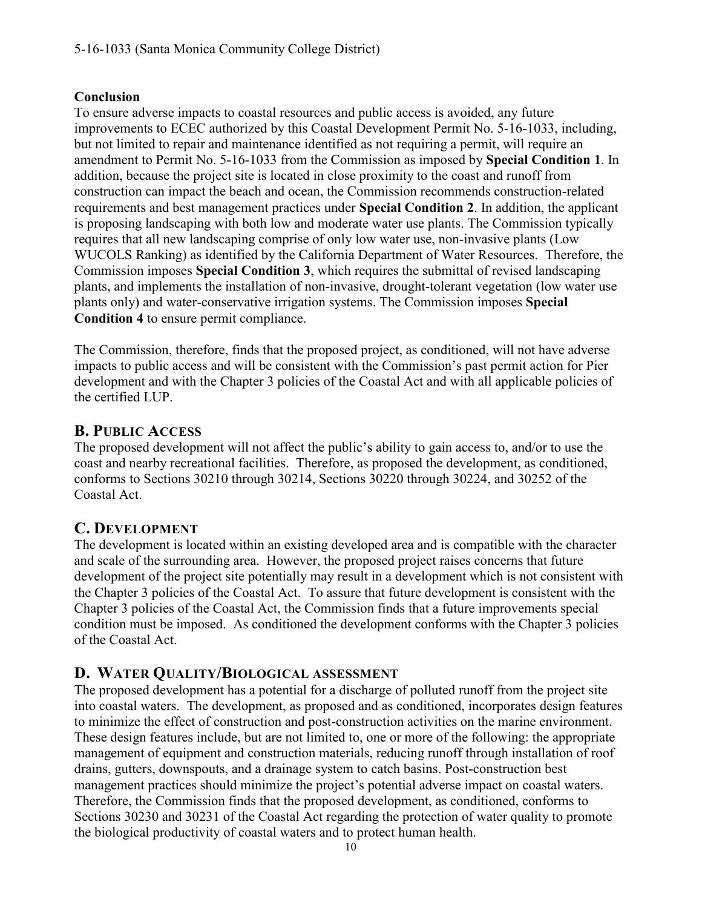#### **Conclusion**

To ensure adverse impacts to coastal resources and public access is avoided, any future improvements to ECEC authorized by this Coastal Development Permit No. 5-16-1033, including, but not limited to repair and maintenance identified as not requiring a permit, will require an amendment to Permit No. 5-16-1033 from the Commission as imposed by **Special Condition 1**. In addition, because the project site is located in close proximity to the coast and runoff from construction can impact the beach and ocean, the Commission recommends construction-related requirements and best management practices under **Special Condition 2**. In addition, the applicant is proposing landscaping with both low and moderate water use plants. The Commission typically requires that all new landscaping comprise of only low water use, non-invasive plants (Low WUCOLS Ranking) as identified by the California Department of Water Resources. Therefore, the Commission imposes **Special Condition 3**, which requires the submittal of revised landscaping plants, and implements the installation of non-invasive, drought-tolerant vegetation (low water use plants only) and water-conservative irrigation systems. The Commission imposes **Special Condition 4** to ensure permit compliance.

The Commission, therefore, finds that the proposed project, as conditioned, will not have adverse impacts to public access and will be consistent with the Commission's past permit action for Pier development and with the Chapter 3 policies of the Coastal Act and with all applicable policies of the certified LUP.

# <span id="page-9-0"></span>**B. PUBLIC ACCESS**

The proposed development will not affect the public's ability to gain access to, and/or to use the coast and nearby recreational facilities. Therefore, as proposed the development, as conditioned, conforms to Sections 30210 through 30214, Sections 30220 through 30224, and 30252 of the Coastal Act.

# <span id="page-9-1"></span>**C. DEVELOPMENT**

The development is located within an existing developed area and is compatible with the character and scale of the surrounding area. However, the proposed project raises concerns that future development of the project site potentially may result in a development which is not consistent with the Chapter 3 policies of the Coastal Act. To assure that future development is consistent with the Chapter 3 policies of the Coastal Act, the Commission finds that a future improvements special condition must be imposed. As conditioned the development conforms with the Chapter 3 policies of the Coastal Act.

# <span id="page-9-2"></span>**D. WATER QUALITY/BIOLOGICAL ASSESSMENT**

The proposed development has a potential for a discharge of polluted runoff from the project site into coastal waters. The development, as proposed and as conditioned, incorporates design features to minimize the effect of construction and post-construction activities on the marine environment. These design features include, but are not limited to, one or more of the following: the appropriate management of equipment and construction materials, reducing runoff through installation of roof drains, gutters, downspouts, and a drainage system to catch basins. Post-construction best management practices should minimize the project's potential adverse impact on coastal waters. Therefore, the Commission finds that the proposed development, as conditioned, conforms to Sections 30230 and 30231 of the Coastal Act regarding the protection of water quality to promote the biological productivity of coastal waters and to protect human health.